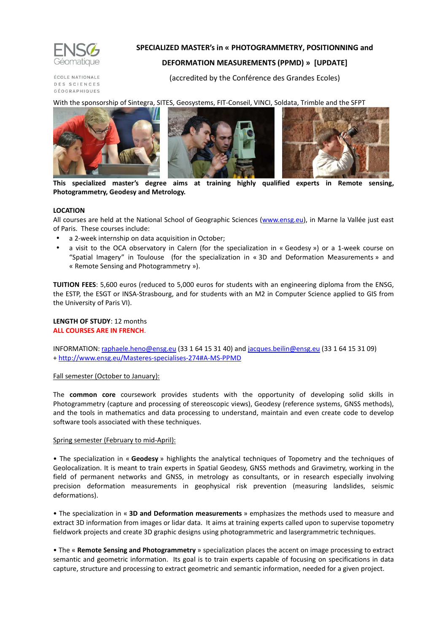

# **SPECIALIZED MASTER's in « PHOTOGRAMMETRY, POSITIONNING and**

# **DEFORMATION MEASUREMENTS (PPMD) » [UPDATE]**

ÉCOLE NATIONALE DES SCIENCES GÉOGRAPHIQUES (accredited by the Conférence des Grandes Ecoles)

With the sponsorship of Sintegra, SITES, Geosystems, FIT-Conseil, VINCI, Soldata, Trimble and the SFPT



**This specialized master's degree aims at training highly qualified experts in Remote sensing, Photogrammetry, Geodesy and Metrology.** 

## **LOCATION**

All courses are held at the National School of Geographic Sciences (www.ensg.eu), in Marne la Vallée just east of Paris. These courses include:

- a 2-week internship on data acquisition in October;
- a visit to the OCA observatory in Calern (for the specialization in « Geodesy ») or a 1-week course on "Spatial Imagery" in Toulouse (for the specialization in « 3D and Deformation Measurements » and « Remote Sensing and Photogrammetry »).

**TUITION FEES**: 5,600 euros (reduced to 5,000 euros for students with an engineering diploma from the ENSG, the ESTP, the ESGT or INSA-Strasbourg, and for students with an M2 in Computer Science applied to GIS from the University of Paris VI).

## **LENGTH OF STUDY**: 12 months **ALL COURSES ARE IN FRENCH**.

INFORMATION: raphaele.heno@ensg.eu (33 1 64 15 31 40) and jacques.beilin@ensg.eu (33 1 64 15 31 09) + http://www.ensg.eu/Masteres-specialises-274#A-MS-PPMD

## Fall semester (October to January):

The **common core** coursework provides students with the opportunity of developing solid skills in Photogrammetry (capture and processing of stereoscopic views), Geodesy (reference systems, GNSS methods), and the tools in mathematics and data processing to understand, maintain and even create code to develop software tools associated with these techniques.

## Spring semester (February to mid-April):

• The specialization in « **Geodesy** » highlights the analytical techniques of Topometry and the techniques of Geolocalization. It is meant to train experts in Spatial Geodesy, GNSS methods and Gravimetry, working in the field of permanent networks and GNSS, in metrology as consultants, or in research especially involving precision deformation measurements in geophysical risk prevention (measuring landslides, seismic deformations).

• The specialization in « **3D and Deformation measurements** » emphasizes the methods used to measure and extract 3D information from images or lidar data. It aims at training experts called upon to supervise topometry fieldwork projects and create 3D graphic designs using photogrammetric and lasergrammetric techniques.

• The « **Remote Sensing and Photogrammetry** » specialization places the accent on image processing to extract semantic and geometric information. Its goal is to train experts capable of focusing on specifications in data capture, structure and processing to extract geometric and semantic information, needed for a given project.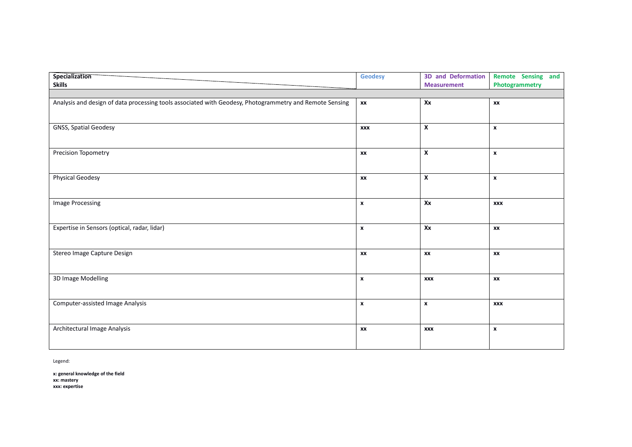| Specialization<br><b>Skills</b>                                                                         | <b>Geodesy</b>     | <b>3D and Deformation</b><br><b>Measurement</b> | Remote Sensing and<br>Photogrammetry |
|---------------------------------------------------------------------------------------------------------|--------------------|-------------------------------------------------|--------------------------------------|
|                                                                                                         |                    |                                                 |                                      |
| Analysis and design of data processing tools associated with Geodesy, Photogrammetry and Remote Sensing | XX                 | Xx                                              | XX                                   |
| <b>GNSS, Spatial Geodesy</b>                                                                            | <b>XXX</b>         | $\boldsymbol{\mathsf{x}}$                       | $\boldsymbol{x}$                     |
| Precision Topometry                                                                                     | XX                 | X                                               | $\boldsymbol{x}$                     |
| <b>Physical Geodesy</b>                                                                                 | XX                 | $\pmb{\mathsf{X}}$                              | $\boldsymbol{x}$                     |
| Image Processing                                                                                        | $\pmb{\mathsf{x}}$ | Xx                                              | <b>XXX</b>                           |
| Expertise in Sensors (optical, radar, lidar)                                                            | $\pmb{\chi}$       | Xx                                              | XX                                   |
| Stereo Image Capture Design                                                                             | XX                 | XX                                              | XX                                   |
| 3D Image Modelling                                                                                      | $\pmb{\mathsf{x}}$ | <b>XXX</b>                                      | XX                                   |
| Computer-assisted Image Analysis                                                                        | $\pmb{\chi}$       | $\pmb{\chi}$                                    | <b>XXX</b>                           |
| Architectural Image Analysis                                                                            | XX                 | <b>XXX</b>                                      | $\pmb{\mathsf{x}}$                   |

Legend:

**x: general knowledge of the field xx: mastery xxx: expertise**